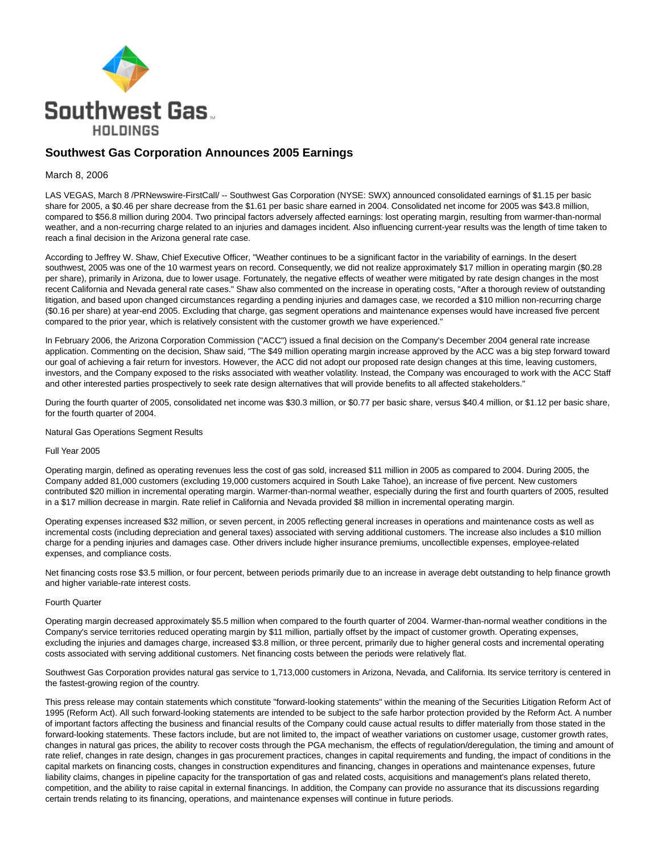

## **Southwest Gas Corporation Announces 2005 Earnings**

## March 8, 2006

LAS VEGAS, March 8 /PRNewswire-FirstCall/ -- Southwest Gas Corporation (NYSE: SWX) announced consolidated earnings of \$1.15 per basic share for 2005, a \$0.46 per share decrease from the \$1.61 per basic share earned in 2004. Consolidated net income for 2005 was \$43.8 million, compared to \$56.8 million during 2004. Two principal factors adversely affected earnings: lost operating margin, resulting from warmer-than-normal weather, and a non-recurring charge related to an injuries and damages incident. Also influencing current-year results was the length of time taken to reach a final decision in the Arizona general rate case.

According to Jeffrey W. Shaw, Chief Executive Officer, "Weather continues to be a significant factor in the variability of earnings. In the desert southwest, 2005 was one of the 10 warmest years on record. Consequently, we did not realize approximately \$17 million in operating margin (\$0.28 per share), primarily in Arizona, due to lower usage. Fortunately, the negative effects of weather were mitigated by rate design changes in the most recent California and Nevada general rate cases." Shaw also commented on the increase in operating costs, "After a thorough review of outstanding litigation, and based upon changed circumstances regarding a pending injuries and damages case, we recorded a \$10 million non-recurring charge (\$0.16 per share) at year-end 2005. Excluding that charge, gas segment operations and maintenance expenses would have increased five percent compared to the prior year, which is relatively consistent with the customer growth we have experienced."

In February 2006, the Arizona Corporation Commission ("ACC") issued a final decision on the Company's December 2004 general rate increase application. Commenting on the decision, Shaw said, "The \$49 million operating margin increase approved by the ACC was a big step forward toward our goal of achieving a fair return for investors. However, the ACC did not adopt our proposed rate design changes at this time, leaving customers, investors, and the Company exposed to the risks associated with weather volatility. Instead, the Company was encouraged to work with the ACC Staff and other interested parties prospectively to seek rate design alternatives that will provide benefits to all affected stakeholders."

During the fourth quarter of 2005, consolidated net income was \$30.3 million, or \$0.77 per basic share, versus \$40.4 million, or \$1.12 per basic share, for the fourth quarter of 2004.

Natural Gas Operations Segment Results

## Full Year 2005

Operating margin, defined as operating revenues less the cost of gas sold, increased \$11 million in 2005 as compared to 2004. During 2005, the Company added 81,000 customers (excluding 19,000 customers acquired in South Lake Tahoe), an increase of five percent. New customers contributed \$20 million in incremental operating margin. Warmer-than-normal weather, especially during the first and fourth quarters of 2005, resulted in a \$17 million decrease in margin. Rate relief in California and Nevada provided \$8 million in incremental operating margin.

Operating expenses increased \$32 million, or seven percent, in 2005 reflecting general increases in operations and maintenance costs as well as incremental costs (including depreciation and general taxes) associated with serving additional customers. The increase also includes a \$10 million charge for a pending injuries and damages case. Other drivers include higher insurance premiums, uncollectible expenses, employee-related expenses, and compliance costs.

Net financing costs rose \$3.5 million, or four percent, between periods primarily due to an increase in average debt outstanding to help finance growth and higher variable-rate interest costs.

## Fourth Quarter

Operating margin decreased approximately \$5.5 million when compared to the fourth quarter of 2004. Warmer-than-normal weather conditions in the Company's service territories reduced operating margin by \$11 million, partially offset by the impact of customer growth. Operating expenses, excluding the injuries and damages charge, increased \$3.8 million, or three percent, primarily due to higher general costs and incremental operating costs associated with serving additional customers. Net financing costs between the periods were relatively flat.

Southwest Gas Corporation provides natural gas service to 1,713,000 customers in Arizona, Nevada, and California. Its service territory is centered in the fastest-growing region of the country.

This press release may contain statements which constitute "forward-looking statements" within the meaning of the Securities Litigation Reform Act of 1995 (Reform Act). All such forward-looking statements are intended to be subject to the safe harbor protection provided by the Reform Act. A number of important factors affecting the business and financial results of the Company could cause actual results to differ materially from those stated in the forward-looking statements. These factors include, but are not limited to, the impact of weather variations on customer usage, customer growth rates, changes in natural gas prices, the ability to recover costs through the PGA mechanism, the effects of regulation/deregulation, the timing and amount of rate relief, changes in rate design, changes in gas procurement practices, changes in capital requirements and funding, the impact of conditions in the capital markets on financing costs, changes in construction expenditures and financing, changes in operations and maintenance expenses, future liability claims, changes in pipeline capacity for the transportation of gas and related costs, acquisitions and management's plans related thereto, competition, and the ability to raise capital in external financings. In addition, the Company can provide no assurance that its discussions regarding certain trends relating to its financing, operations, and maintenance expenses will continue in future periods.